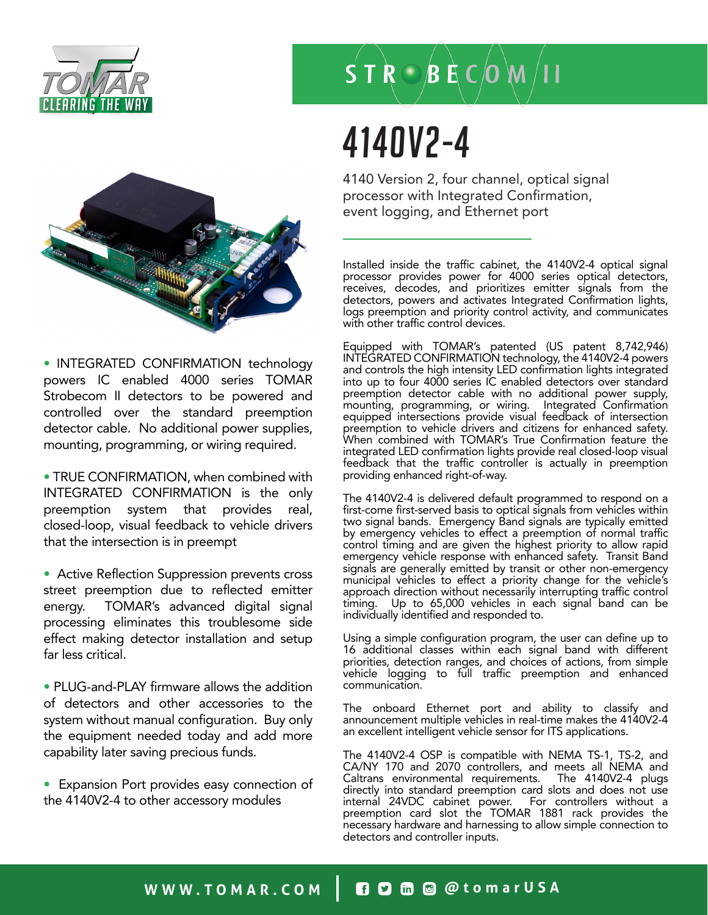



• INTEGRATED CONFIRMATION technology powers IC enabled 4000 series TOMAR Strobecom II detectors to be powered and controlled over the standard preemption detector cable. No additional power supplies, mounting, programming, or wiring required.

• TRUE CONFIRMATION, when combined with INTEGRATED CONFIRMATION is the only preemption system that provides real, closed-loop, visual feedback to vehicle drivers that the intersection is in preempt

• Active Reflection Suppression prevents cross street preemption due to reflected emitter energy. TOMAR's advanced digital signal processing eliminates this troublesome side effect making detector installation and setup far less critical.

• PLUG-and-PLAY firmware allows the addition of detectors and other accessories to the system without manual configuration. Buy only the equipment needed today and add more capability later saving precious funds.

• Expansion Port provides easy connection of the 4140V2-4 to other accessory modules

### $\overrightarrow{S}$  T  $\overrightarrow{R}$   $\odot$   $\overrightarrow{B}$   $\overrightarrow{E}$   $\overrightarrow{C}$   $\overrightarrow{O}$   $\overrightarrow{M}$   $\overrightarrow{I}$  I

## 4140V2-4

4140 Version 2, four channel, optical signal processor with Integrated Confirmation, event logging, and Ethernet port

Installed inside the traffic cabinet, the 4140V2-4 optical signal processor provides power for 4000 series optical detectors, receives, decodes, and prioritizes emitter signals from the detectors, powers and activates Integrated Confirmation lights, logs preemption and priority control activity, and communicates with other traffic control devices.

Equipped with TOMAR's patented (US patent 8,742,946) INTEGRATED CONFIRMATION technology, the 4140V2-4 powers and controls the high intensity LED confirmation lights integrated into up to four 4000 series IC enabled detectors over standard preemption detector cable with no additional power supply, mounting, programming, or wiring. Integrated Confirmation equipped intersections provide visual feedback of intersection preemption to vehicle drivers and citizens for enhanced safety. When combined with TOMAR's True Confirmation feature the integrated LED confirmation lights provide real closed-loop visual feedback that the traffic controller is actually in preemption providing enhanced right-of-way.

The 4140V2-4 is delivered default programmed to respond on a first-come first-served basis to optical signals from vehicles within two signal bands. Emergency Band signals are typically emitted by emergency vehicles to effect a preemption of normal traffic control timing and are given the highest priority to allow rapid emergency vehicle response with enhanced safety. Transit Band signals are generally emitted by transit or other non-emergency municipal vehicles to effect a priority change for the vehicle's approach direction without necessarily interrupting traffic control timing. Up to 65,000 vehicles in each signal band can be individually identified and responded to.

Using a simple configuration program, the user can define up to 16 additional classes within each signal band with different priorities, detection ranges, and choices of actions, from simple vehicle logging to full traffic preemption and enhanced communication.

The onboard Ethernet port and ability to classify and announcement multiple vehicles in real-time makes the 4140V2-4 an excellent intelligent vehicle sensor for ITS applications.

The 4140V2-4 OSP is compatible with NEMA TS-1, TS-2, and CA/NY 170 and 2070 controllers, and meets all NEMA and Caltrans environmental requirements. The 4140V2-4 plugs directly into standard preemption card slots and does not use internal 24VDC cabinet power. For controllers without a preemption card slot the TOMAR 1881 rack provides the necessary hardware and harnessing to allow simple connection to detectors and controller inputs.